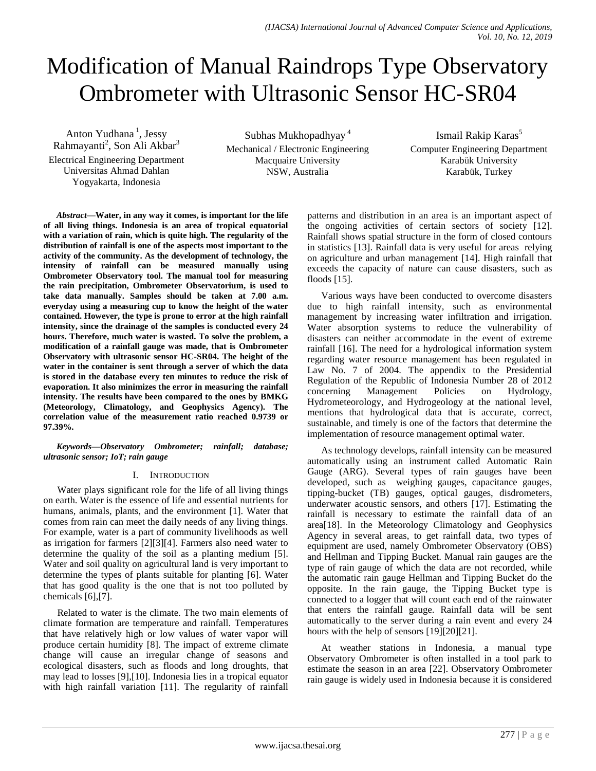# Modification of Manual Raindrops Type Observatory Ombrometer with Ultrasonic Sensor HC-SR04

Anton Yudhana<sup>1</sup>, Jessy Rahmayanti<sup>2</sup>, Son Ali Akbar<sup>3</sup> Electrical Engineering Department Universitas Ahmad Dahlan Yogyakarta, Indonesia

Subhas Mukhopadhyay <sup>4</sup> Mechanical / Electronic Engineering Macquaire University NSW, Australia

Ismail Rakip Karas<sup>5</sup> Computer Engineering Department Karabük University Karabük, Turkey

*Abstract***—Water, in any way it comes, is important for the life of all living things. Indonesia is an area of tropical equatorial with a variation of rain, which is quite high. The regularity of the distribution of rainfall is one of the aspects most important to the activity of the community. As the development of technology, the intensity of rainfall can be measured manually using Ombrometer Observatory tool. The manual tool for measuring the rain precipitation, Ombrometer Observatorium, is used to take data manually. Samples should be taken at 7.00 a.m. everyday using a measuring cup to know the height of the water contained. However, the type is prone to error at the high rainfall intensity, since the drainage of the samples is conducted every 24 hours. Therefore, much water is wasted. To solve the problem, a modification of a rainfall gauge was made, that is Ombrometer Observatory with ultrasonic sensor HC-SR04. The height of the water in the container is sent through a server of which the data is stored in the database every ten minutes to reduce the risk of evaporation. It also minimizes the error in measuring the rainfall intensity. The results have been compared to the ones by BMKG (Meteorology, Climatology, and Geophysics Agency). The correlation value of the measurement ratio reached 0.9739 or 97.39%.**

*Keywords—Observatory Ombrometer; rainfall; database; ultrasonic sensor; IoT; rain gauge*

### I. INTRODUCTION

Water plays significant role for the life of all living things on earth. Water is the essence of life and essential nutrients for humans, animals, plants, and the environment [1]. Water that comes from rain can meet the daily needs of any living things. For example, water is a part of community livelihoods as well as irrigation for farmers [2][3][4]. Farmers also need water to determine the quality of the soil as a planting medium [5]. Water and soil quality on agricultural land is very important to determine the types of plants suitable for planting [6]. Water that has good quality is the one that is not too polluted by chemicals [6],[7].

Related to water is the climate. The two main elements of climate formation are temperature and rainfall. Temperatures that have relatively high or low values of water vapor will produce certain humidity [8]. The impact of extreme climate change will cause an irregular change of seasons and ecological disasters, such as floods and long droughts, that may lead to losses [9],[10]. Indonesia lies in a tropical equator with high rainfall variation [11]. The regularity of rainfall patterns and distribution in an area is an important aspect of the ongoing activities of certain sectors of society [12]. Rainfall shows spatial structure in the form of closed contours in statistics [13]. Rainfall data is very useful for areas relying on agriculture and urban management [14]. High rainfall that exceeds the capacity of nature can cause disasters, such as floods [15].

Various ways have been conducted to overcome disasters due to high rainfall intensity, such as environmental management by increasing water infiltration and irrigation. Water absorption systems to reduce the vulnerability of disasters can neither accommodate in the event of extreme rainfall [16]. The need for a hydrological information system regarding water resource management has been regulated in Law No. 7 of 2004. The appendix to the Presidential Regulation of the Republic of Indonesia Number 28 of 2012 concerning Management Policies on Hydrology, Hydrometeorology, and Hydrogeology at the national level, mentions that hydrological data that is accurate, correct, sustainable, and timely is one of the factors that determine the implementation of resource management optimal water.

As technology develops, rainfall intensity can be measured automatically using an instrument called Automatic Rain Gauge (ARG). Several types of rain gauges have been developed, such as weighing gauges, capacitance gauges, tipping-bucket (TB) gauges, optical gauges, disdrometers, underwater acoustic sensors, and others [17]. Estimating the rainfall is necessary to estimate the rainfall data of an area[18]. In the Meteorology Climatology and Geophysics Agency in several areas, to get rainfall data, two types of equipment are used, namely Ombrometer Observatory (OBS) and Hellman and Tipping Bucket. Manual rain gauges are the type of rain gauge of which the data are not recorded, while the automatic rain gauge Hellman and Tipping Bucket do the opposite. In the rain gauge, the Tipping Bucket type is connected to a logger that will count each end of the rainwater that enters the rainfall gauge. Rainfall data will be sent automatically to the server during a rain event and every 24 hours with the help of sensors [19][20][21].

At weather stations in Indonesia, a manual type Observatory Ombrometer is often installed in a tool park to estimate the season in an area [22]. Observatory Ombrometer rain gauge is widely used in Indonesia because it is considered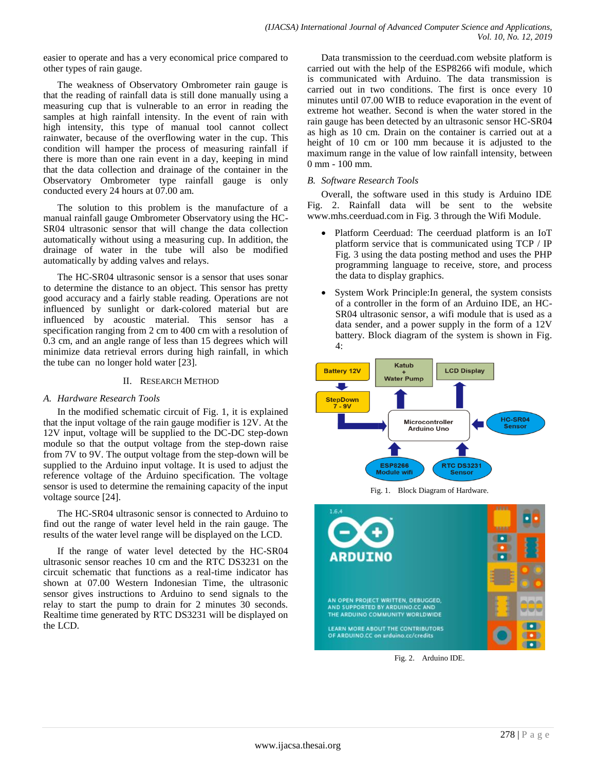easier to operate and has a very economical price compared to other types of rain gauge.

The weakness of Observatory Ombrometer rain gauge is that the reading of rainfall data is still done manually using a measuring cup that is vulnerable to an error in reading the samples at high rainfall intensity. In the event of rain with high intensity, this type of manual tool cannot collect rainwater, because of the overflowing water in the cup. This condition will hamper the process of measuring rainfall if there is more than one rain event in a day, keeping in mind that the data collection and drainage of the container in the Observatory Ombrometer type rainfall gauge is only conducted every 24 hours at 07.00 am.

The solution to this problem is the manufacture of a manual rainfall gauge Ombrometer Observatory using the HC-SR04 ultrasonic sensor that will change the data collection automatically without using a measuring cup. In addition, the drainage of water in the tube will also be modified automatically by adding valves and relays.

The HC-SR04 ultrasonic sensor is a sensor that uses sonar to determine the distance to an object. This sensor has pretty good accuracy and a fairly stable reading. Operations are not influenced by sunlight or dark-colored material but are influenced by acoustic material. This sensor has a specification ranging from 2 cm to 400 cm with a resolution of 0.3 cm, and an angle range of less than 15 degrees which will minimize data retrieval errors during high rainfall, in which the tube can no longer hold water [23].

## II. RESEARCH METHOD

## *A. Hardware Research Tools*

In the modified schematic circuit of Fig. 1, it is explained that the input voltage of the rain gauge modifier is 12V. At the 12V input, voltage will be supplied to the DC-DC step-down module so that the output voltage from the step-down raise from 7V to 9V. The output voltage from the step-down will be supplied to the Arduino input voltage. It is used to adjust the reference voltage of the Arduino specification. The voltage sensor is used to determine the remaining capacity of the input voltage source [24].

The HC-SR04 ultrasonic sensor is connected to Arduino to find out the range of water level held in the rain gauge. The results of the water level range will be displayed on the LCD.

If the range of water level detected by the HC-SR04 ultrasonic sensor reaches 10 cm and the RTC DS3231 on the circuit schematic that functions as a real-time indicator has shown at 07.00 Western Indonesian Time, the ultrasonic sensor gives instructions to Arduino to send signals to the relay to start the pump to drain for 2 minutes 30 seconds. Realtime time generated by RTC DS3231 will be displayed on the LCD.

Data transmission to the ceerduad.com website platform is carried out with the help of the ESP8266 wifi module, which is communicated with Arduino. The data transmission is carried out in two conditions. The first is once every 10 minutes until 07.00 WIB to reduce evaporation in the event of extreme hot weather. Second is when the water stored in the rain gauge has been detected by an ultrasonic sensor HC-SR04 as high as 10 cm. Drain on the container is carried out at a height of 10 cm or 100 mm because it is adjusted to the maximum range in the value of low rainfall intensity, between 0 mm - 100 mm.

## *B. Software Research Tools*

Overall, the software used in this study is Arduino IDE Fig. 2. Rainfall data will be sent to the website www.mhs.ceerduad.com in Fig. 3 through the Wifi Module.

- Platform Ceerduad: The ceerduad platform is an IoT platform service that is communicated using TCP / IP Fig. 3 using the data posting method and uses the PHP programming language to receive, store, and process the data to display graphics.
- System Work Principle: In general, the system consists of a controller in the form of an Arduino IDE, an HC-SR04 ultrasonic sensor, a wifi module that is used as a data sender, and a power supply in the form of a 12V battery. Block diagram of the system is shown in Fig. 4:



Fig. 1. Block Diagram of Hardware.



Fig. 2. Arduino IDE.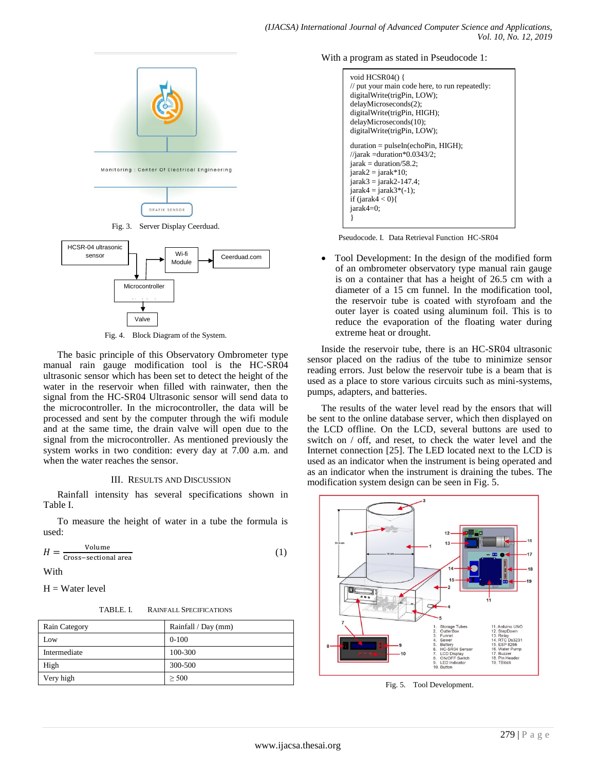

Fig. 4. Block Diagram of the System.

Valve

The basic principle of this Observatory Ombrometer type manual rain gauge modification tool is the HC-SR04 ultrasonic sensor which has been set to detect the height of the water in the reservoir when filled with rainwater, then the signal from the HC-SR04 Ultrasonic sensor will send data to the microcontroller. In the microcontroller, the data will be processed and sent by the computer through the wifi module and at the same time, the drain valve will open due to the signal from the microcontroller. As mentioned previously the system works in two condition: every day at 7.00 a.m. and when the water reaches the sensor.

#### III. RESULTS AND DISCUSSION

Rainfall intensity has several specifications shown in Table I.

To measure the height of water in a tube the formula is used:

$$
H = \frac{\text{Volume}}{\text{Cross-sectional area}}\tag{1}
$$

With

 $H = Water level$ 

| <b>RAINFALL SPECIFICATIONS</b> |
|--------------------------------|
|                                |

| Rain Category | Rainfall / Day (mm) |
|---------------|---------------------|
| Low           | $0 - 100$           |
| Intermediate  | 100-300             |
| High          | 300-500             |
| Very high     | > 500               |

With a program as stated in Pseudocode 1:

```
void HCSR04() {
// put your main code here, to run repeatedly:
digitalWrite(trigPin, LOW); 
delayMicroseconds(2);
digitalWrite(trigPin, HIGH); 
delayMicroseconds(10);
digitalWrite(trigPin, LOW);
duration = pulseIn(echoPin, HIGH);
//jarak =duration*0.0343/2;
jarak = duration/58.2;jarak2 = jarak*10;jarak3 = jarak2-147.4;
jarak4 = jarak3*(-1);if (jarak4 < 0){
jarak4=0;
}
```
Pseudocode. I. Data Retrieval Function HC-SR04

 Tool Development: In the design of the modified form of an ombrometer observatory type manual rain gauge is on a container that has a height of 26.5 cm with a diameter of a 15 cm funnel. In the modification tool, the reservoir tube is coated with styrofoam and the outer layer is coated using aluminum foil. This is to reduce the evaporation of the floating water during extreme heat or drought.

Inside the reservoir tube, there is an HC-SR04 ultrasonic sensor placed on the radius of the tube to minimize sensor reading errors. Just below the reservoir tube is a beam that is used as a place to store various circuits such as mini-systems, pumps, adapters, and batteries.

The results of the water level read by the ensors that will be sent to the online database server, which then displayed on the LCD offline. On the LCD, several buttons are used to switch on / off, and reset, to check the water level and the Internet connection [25]. The LED located next to the LCD is used as an indicator when the instrument is being operated and as an indicator when the instrument is draining the tubes. The modification system design can be seen in Fig. 5.



Fig. 5. Tool Development.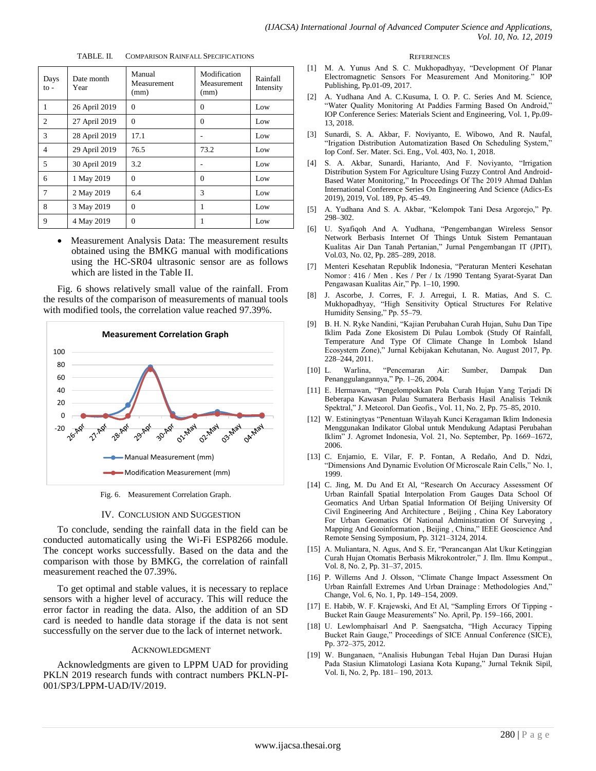| TABLE. II. | <b>COMPARISON RAINFALL SPECIFICATIONS</b> |  |
|------------|-------------------------------------------|--|
|            |                                           |  |

| Days<br>$\mathbf{to}$ | Date month<br>Year | Manual<br>Measurement<br>(mm) | Modification<br>Measurement<br>(mm) | Rainfall<br>Intensity |
|-----------------------|--------------------|-------------------------------|-------------------------------------|-----------------------|
| 1                     | 26 April 2019      | 0                             | 0                                   | Low                   |
| $\overline{c}$        | 27 April 2019      | $\Omega$                      | $\Omega$                            | Low                   |
| 3                     | 28 April 2019      | 17.1                          |                                     | Low                   |
| $\overline{4}$        | 29 April 2019      | 76.5                          | 73.2                                | Low                   |
| 5                     | 30 April 2019      | 3.2                           |                                     | Low                   |
| 6                     | 1 May 2019         | $\Omega$                      | $\Omega$                            | Low                   |
| 7                     | 2 May 2019         | 6.4                           | 3                                   | Low                   |
| 8                     | 3 May 2019         | $\theta$                      | 1                                   | Low                   |
| 9                     | 4 May 2019         | $\theta$                      |                                     | Low                   |

• Measurement Analysis Data: The measurement results obtained using the BMKG manual with modifications using the HC-SR04 ultrasonic sensor are as follows which are listed in the Table II.

Fig. 6 shows relatively small value of the rainfall. From the results of the comparison of measurements of manual tools with modified tools, the correlation value reached 97.39%.



Fig. 6. Measurement Correlation Graph.

#### IV. CONCLUSION AND SUGGESTION

To conclude, sending the rainfall data in the field can be conducted automatically using the Wi-Fi ESP8266 module. The concept works successfully. Based on the data and the comparison with those by BMKG, the correlation of rainfall measurement reached the 07.39%.

To get optimal and stable values, it is necessary to replace sensors with a higher level of accuracy. This will reduce the error factor in reading the data. Also, the addition of an SD card is needed to handle data storage if the data is not sent successfully on the server due to the lack of internet network.

#### ACKNOWLEDGMENT

Acknowledgments are given to LPPM UAD for providing PKLN 2019 research funds with contract numbers PKLN-PI-001/SP3/LPPM-UAD/IV/2019.

#### **REFERENCES**

- [1] M. A. Yunus And S. C. Mukhopadhyay, "Development Of Planar Electromagnetic Sensors For Measurement And Monitoring." IOP Publishing, Pp.01-09, 2017.
- [2] A. Yudhana And A. C.Kusuma, I. O. P. C. Series And M. Science, "Water Quality Monitoring At Paddies Farming Based On Android," IOP Conference Series: Materials Scient and Engineering, Vol. 1, Pp.09- 13, 2018.
- [3] Sunardi, S. A. Akbar, F. Noviyanto, E. Wibowo, And R. Naufal, "Irigation Distribution Automatization Based On Scheduling System," Iop Conf. Ser. Mater. Sci. Eng., Vol. 403, No. 1, 2018.
- [4] S. A. Akbar, Sunardi, Harianto, And F. Noviyanto, "Irrigation Distribution System For Agriculture Using Fuzzy Control And Android-Based Water Monitoring," In Proceedings Of The 2019 Ahmad Dahlan International Conference Series On Engineering And Science (Adics-Es 2019), 2019, Vol. 189, Pp. 45–49.
- [5] A. Yudhana And S. A. Akbar, "Kelompok Tani Desa Argorejo," Pp. 298–302.
- [6] U. Syafiqoh And A. Yudhana, "Pengembangan Wireless Sensor Network Berbasis Internet Of Things Untuk Sistem Pemantauan Kualitas Air Dan Tanah Pertanian," Jurnal Pengembangan IT (JPIT), Vol.03, No. 02, Pp. 285–289, 2018.
- [7] Menteri Kesehatan Republik Indonesia, "Peraturan Menteri Kesehatan Nomor : 416 / Men . Kes / Per / Ix /1990 Tentang Syarat-Syarat Dan Pengawasan Kualitas Air," Pp. 1–10, 1990.
- [8] J. Ascorbe, J. Corres, F. J. Arregui, I. R. Matias, And S. C. Mukhopadhyay, "High Sensitivity Optical Structures For Relative Humidity Sensing," Pp. 55–79.
- [9] B. H. N. Ryke Nandini, "Kajian Perubahan Curah Hujan, Suhu Dan Tipe Iklim Pada Zone Ekosistem Di Pulau Lombok (Study Of Rainfall, Temperature And Type Of Climate Change In Lombok Island Ecosystem Zone)," Jurnal Kebijakan Kehutanan, No. August 2017, Pp. 228–244, 2011.
- [10] L. Warlina, "Pencemaran Air: Sumber, Dampak Dan Penanggulangannya," Pp. 1–26, 2004.
- [11] E. Hermawan, "Pengelompokkan Pola Curah Hujan Yang Terjadi Di Beberapa Kawasan Pulau Sumatera Berbasis Hasil Analisis Teknik Spektral," J. Meteorol. Dan Geofis., Vol. 11, No. 2, Pp. 75–85, 2010.
- [12] W. Estiningtyas "Penentuan Wilayah Kunci Keragaman Iklim Indonesia Menggunakan Indikator Global untuk Mendukung Adaptasi Perubahan Iklim" J. Agromet Indonesia, Vol. 21, No. September, Pp. 1669–1672, 2006.
- [13] C. Enjamio, E. Vilar, F. P. Fontan, A Redaño, And D. Ndzi, "Dimensions And Dynamic Evolution Of Microscale Rain Cells," No. 1, 1999.
- [14] C. Jing, M. Du And Et Al, "Research On Accuracy Assessment Of Urban Rainfall Spatial Interpolation From Gauges Data School Of Geomatics And Urban Spatial Information Of Beijing University Of Civil Engineering And Architecture , Beijing , China Key Laboratory For Urban Geomatics Of National Administration Of Surveying , Mapping And Geoinformation , Beijing , China," IEEE Geoscience And Remote Sensing Symposium, Pp. 3121–3124, 2014.
- [15] A. Muliantara, N. Agus, And S. Er, "Perancangan Alat Ukur Ketinggian Curah Hujan Otomatis Berbasis Mikrokontroler," J. Ilm. Ilmu Komput., Vol. 8, No. 2, Pp. 31–37, 2015.
- [16] P. Willems And J. Olsson, "Climate Change Impact Assessment On Urban Rainfall Extremes And Urban Drainage : Methodologies And," Change, Vol. 6, No. 1, Pp. 149–154, 2009.
- [17] E. Habib, W. F. Krajewski, And Et Al, "Sampling Errors Of Tipping Bucket Rain Gauge Measurements" No. April, Pp. 159–166, 2001.
- [18] U. Lewlomphaisarl And P. Saengsatcha, "High Accuracy Tipping Bucket Rain Gauge," Proceedings of SICE Annual Conference (SICE), Pp. 372–375, 2012.
- [19] W. Bunganaen, "Analisis Hubungan Tebal Hujan Dan Durasi Hujan Pada Stasiun Klimatologi Lasiana Kota Kupang," Jurnal Teknik Sipil, Vol. Ii, No. 2, Pp. 181– 190, 2013.